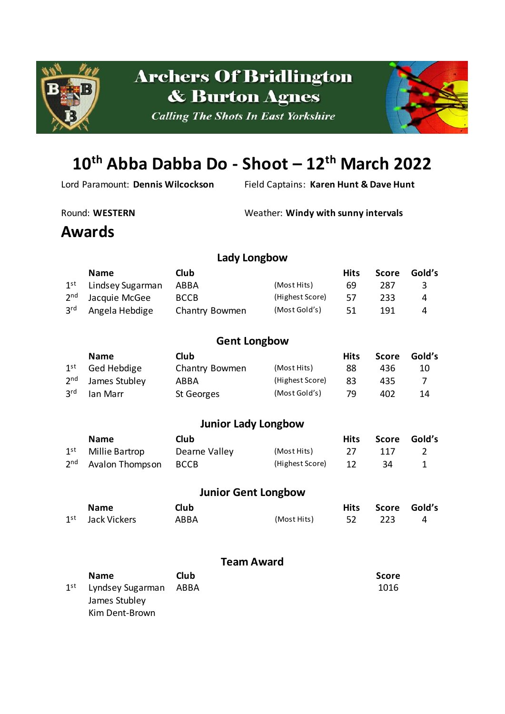

# **Archers Of Bridlington & Burton Agnes**

**Calling The Shots In East Yorkshire** 



# **10th Abba Dabba Do - Shoot – 12th March 2022**

Kim Dent-Brown

Lord Paramount: **Dennis Wilcockson** Field Captains: **Karen Hunt & Dave Hunt**

Round: WESTERN Weather: Windy with sunny intervals

### **Awards**

#### **Lady Longbow**

|                 | <b>Name</b>                      | Club           |                 | <b>Hits</b> |     | Score Gold's |
|-----------------|----------------------------------|----------------|-----------------|-------------|-----|--------------|
|                 | 1 <sup>st</sup> Lindsey Sugarman | ABBA           | (Most Hits)     | 69          | 287 | -3-          |
|                 | 2 <sup>nd</sup> Jacquie McGee    | <b>BCCB</b>    | (Highest Score) | 57          | 233 | 4            |
| 3 <sup>rd</sup> | Angela Hebdige                   | Chantry Bowmen | (Most Gold's)   | 51.         | 191 | 4            |

#### **Gent Longbow**

|                 | <b>Name</b>                   | Club           |                 | <b>Hits</b> | Score | Gold's |
|-----------------|-------------------------------|----------------|-----------------|-------------|-------|--------|
|                 | $1st$ Ged Hebdige             | Chantry Bowmen | (Most Hits)     | 88          | 436   | 10     |
|                 | 2 <sup>nd</sup> James Stubley | ABBA           | (Highest Score) | 83          | 435   |        |
| 3 <sup>rd</sup> | Ian Marr                      | St Georges     | (Most Gold's)   | 79          | 402   | 14     |

#### **Junior Lady Longbow**

| <b>Name</b>                          | Club.         |                    |      | Hits Score Gold's |  |
|--------------------------------------|---------------|--------------------|------|-------------------|--|
| 1 <sup>st</sup> Millie Bartrop       | Dearne Valley | (Most Hits)        | - 27 | -117              |  |
| 2 <sup>nd</sup> Avalon Thompson BCCB |               | (Highest Score) 12 |      | -34               |  |

#### **Junior Gent Longbow Name Club Hits Score Gold's** 1 st Jack Vickers ABBA (Most Hits) 52 223 4

#### **Team Award**

| <b>Name</b>                           | Club | <b>Score</b> |
|---------------------------------------|------|--------------|
| 1 <sup>st</sup> Lyndsey Sugarman ABBA |      | 1016         |
| James Stubley                         |      |              |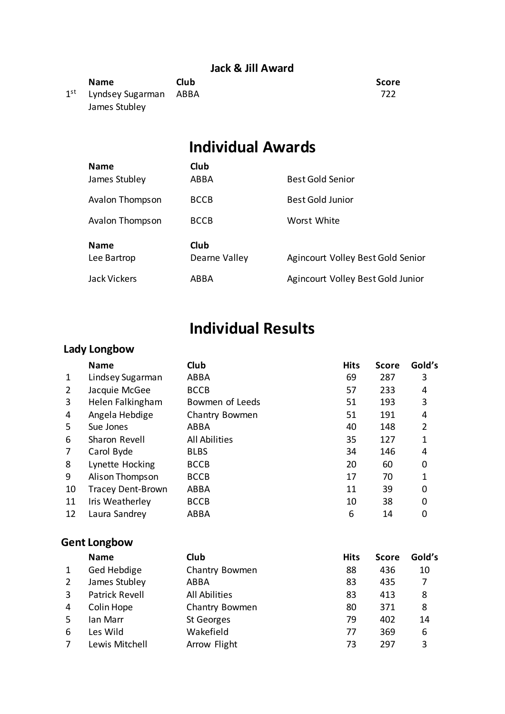#### **Jack & Jill Award**

| <b>Name</b>                           | Club | Score |
|---------------------------------------|------|-------|
| 1 <sup>st</sup> Lyndsey Sugarman ABBA |      | 722   |
| James Stubley                         |      |       |

# **Individual Awards**

| <b>Name</b>                | Club                  |                                   |
|----------------------------|-----------------------|-----------------------------------|
| James Stubley              | ABBA                  | <b>Best Gold Senior</b>           |
| <b>Avalon Thompson</b>     | <b>BCCB</b>           | <b>Best Gold Junior</b>           |
| Avalon Thompson            | <b>BCCB</b>           | Worst White                       |
| <b>Name</b><br>Lee Bartrop | Club<br>Dearne Valley | Agincourt Volley Best Gold Senior |
| Jack Vickers               | ABBA                  | Agincourt Volley Best Gold Junior |

## **Individual Results**

#### **Lady Longbow**

|                | <b>Name</b>              | Club                 | <b>Hits</b> | <b>Score</b> | Gold's         |
|----------------|--------------------------|----------------------|-------------|--------------|----------------|
| 1              | Lindsey Sugarman         | ABBA                 | 69          | 287          | 3              |
| $\overline{2}$ | Jacquie McGee            | <b>BCCB</b>          | 57          | 233          | 4              |
| 3              | Helen Falkingham         | Bowmen of Leeds      | 51          | 193          | 3              |
| 4              | Angela Hebdige           | Chantry Bowmen       | 51          | 191          | 4              |
| 5              | Sue Jones                | ABBA                 | 40          | 148          | $\overline{2}$ |
| 6              | Sharon Revell            | <b>All Abilities</b> | 35          | 127          | 1              |
| 7              | Carol Byde               | <b>BLBS</b>          | 34          | 146          | 4              |
| 8              | Lynette Hocking          | <b>BCCB</b>          | 20          | 60           | 0              |
| 9              | Alison Thompson          | <b>BCCB</b>          | 17          | 70           | 1              |
| 10             | <b>Tracey Dent-Brown</b> | ABBA                 | 11          | 39           | 0              |
| 11             | Iris Weatherley          | <b>BCCB</b>          | 10          | 38           | $\Omega$       |
| 12             | Laura Sandrey            | ABBA                 | 6           | 14           | 0              |

#### **Gent Longbow**

|   | <b>Name</b>           | Club                 | <b>Hits</b> | <b>Score</b> | Gold's |
|---|-----------------------|----------------------|-------------|--------------|--------|
|   | Ged Hebdige           | Chantry Bowmen       | 88          | 436          | 10     |
| 2 | James Stubley         | ABBA                 | 83          | 435          | 7      |
| 3 | <b>Patrick Revell</b> | <b>All Abilities</b> | 83          | 413          | 8      |
| 4 | Colin Hope            | Chantry Bowmen       | 80          | 371          | 8      |
| 5 | lan Marr              | St Georges           | 79          | 402          | 14     |
| 6 | Les Wild              | Wakefield            | 77          | 369          | 6      |
|   | Lewis Mitchell        | Arrow Flight         | 73          | 297          | 3      |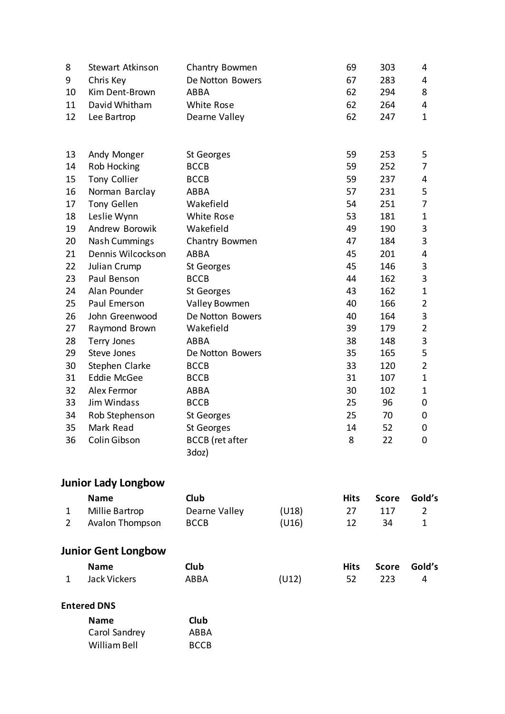| 8              | Stewart Atkinson           | Chantry Bowmen         |       | 69          | 303          | 4              |
|----------------|----------------------------|------------------------|-------|-------------|--------------|----------------|
| 9              | Chris Key                  | De Notton Bowers       |       | 67          | 283          | 4              |
| 10             | Kim Dent-Brown             | ABBA                   |       | 62          | 294          | 8              |
| 11             | David Whitham              | White Rose             |       | 62          | 264          | 4              |
| 12             | Lee Bartrop                | Dearne Valley          |       | 62          | 247          | $\mathbf 1$    |
|                |                            |                        |       |             |              |                |
| 13             | Andy Monger                | St Georges             |       | 59          | 253          | 5              |
| 14             | Rob Hocking                | <b>BCCB</b>            |       | 59          | 252          | 7              |
| 15             | Tony Collier               | <b>BCCB</b>            |       | 59          | 237          | 4              |
| 16             | Norman Barclay             | ABBA                   |       | 57          | 231          | 5              |
| 17             | Tony Gellen                | Wakefield              |       | 54          | 251          | 7              |
| 18             | Leslie Wynn                | White Rose             |       | 53          | 181          | $\mathbf{1}$   |
| 19             | Andrew Borowik             | Wakefield              |       | 49          | 190          | 3              |
| 20             | <b>Nash Cummings</b>       | Chantry Bowmen         |       | 47          | 184          | 3              |
| 21             | Dennis Wilcockson          | ABBA                   |       | 45          | 201          | 4              |
| 22             | Julian Crump               | St Georges             |       | 45          | 146          | 3              |
| 23             | Paul Benson                | <b>BCCB</b>            |       | 44          | 162          | 3              |
| 24             | Alan Pounder               | St Georges             |       | 43          | 162          | $\mathbf{1}$   |
| 25             | Paul Emerson               | Valley Bowmen          |       |             |              | $\overline{2}$ |
| 26             | John Greenwood             | De Notton Bowers       |       | 40          | 164          | 3              |
| 27             | Raymond Brown              | Wakefield              |       | 39          | 179          | $\overline{2}$ |
| 28             | Terry Jones                | ABBA                   |       | 38          | 148          | 3              |
| 29             | Steve Jones                | De Notton Bowers       |       | 35          | 165          | 5              |
| 30             | Stephen Clarke             | <b>BCCB</b>            |       | 33          | 120          | $\overline{2}$ |
| 31             | <b>Eddie McGee</b>         | <b>BCCB</b>            |       | 31          | 107          | $\mathbf{1}$   |
| 32             | Alex Fermor                | ABBA                   |       | 30          | 102          | 1              |
| 33             | Jim Windass                | <b>BCCB</b>            |       | 25          | 96           | 0              |
| 34             | Rob Stephenson             | St Georges             |       | 25          | 70           | 0              |
| 35             | Mark Read                  | St Georges             |       | 14          | 52           | 0              |
| 36             | Colin Gibson               | <b>BCCB</b> (ret after |       | 8           | 22           | $\mathbf 0$    |
|                |                            | 3doz)                  |       |             |              |                |
|                | <b>Junior Lady Longbow</b> |                        |       |             |              |                |
|                | <b>Name</b>                | Club                   |       | <b>Hits</b> | <b>Score</b> | Gold's         |
| 1              | Millie Bartrop             | Dearne Valley          | (U18) | 27          | 117          | $\overline{2}$ |
| $\overline{2}$ | Avalon Thompson            | <b>BCCB</b>            | (U16) | 12          | 34           | $\mathbf{1}$   |
|                |                            |                        |       |             |              |                |
|                | <b>Junior Gent Longbow</b> |                        |       |             |              |                |

| <b>Name</b>    | <b>Club</b> |       | Hits Score Gold's |  |
|----------------|-------------|-------|-------------------|--|
| 1 Jack Vickers | ABBA        | (U12) | 52 223            |  |

#### **Entered DNS**

| <b>Name</b>   | Club        |
|---------------|-------------|
| Carol Sandrey | ABBA        |
| William Bell  | <b>BCCB</b> |